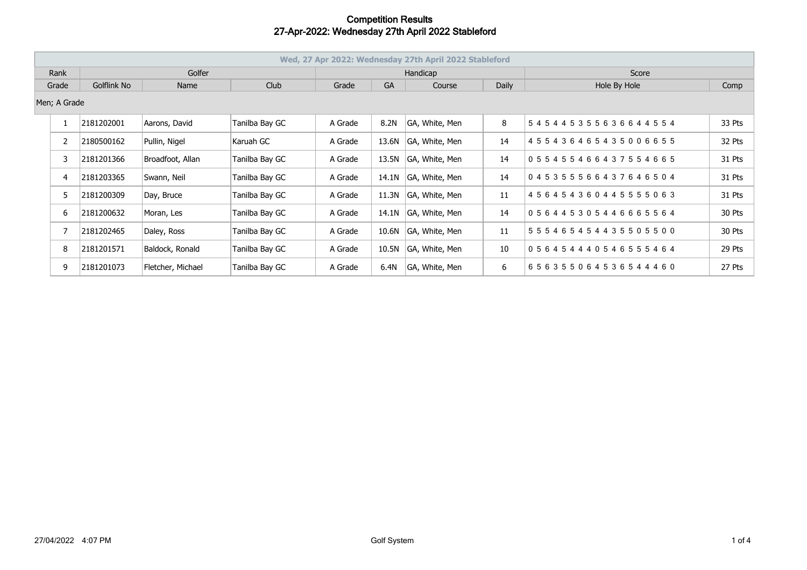|              | Wed, 27 Apr 2022: Wednesday 27th April 2022 Stableford |             |                   |                |          |           |                |       |                                     |        |  |  |
|--------------|--------------------------------------------------------|-------------|-------------------|----------------|----------|-----------|----------------|-------|-------------------------------------|--------|--|--|
| Rank         |                                                        | Golfer      |                   |                | Handicap |           |                |       | Score                               |        |  |  |
| Grade        |                                                        | Golflink No | Name              | Club           | Grade    | <b>GA</b> | Course         | Daily | Hole By Hole                        | Comp   |  |  |
| Men; A Grade |                                                        |             |                   |                |          |           |                |       |                                     |        |  |  |
|              |                                                        | 2181202001  | Aarons, David     | Tanilba Bay GC | A Grade  | 8.2N      | GA, White, Men | 8     | 545445355636644554                  | 33 Pts |  |  |
|              | $\mathbf{2}$                                           | 2180500162  | Pullin, Nigel     | Karuah GC      | A Grade  | 13.6N     | GA, White, Men | 14    | 455436465435006655                  | 32 Pts |  |  |
|              | 3                                                      | 2181201366  | Broadfoot, Allan  | Tanilba Bay GC | A Grade  | 13.5N     | GA, White, Men | 14    | 055455466437554665                  | 31 Pts |  |  |
|              | 4                                                      | 2181203365  | Swann, Neil       | Tanilba Bay GC | A Grade  | 14.1N     | GA, White, Men | 14    | 045355566437646504                  | 31 Pts |  |  |
|              | 5                                                      | 2181200309  | Day, Bruce        | Tanilba Bay GC | A Grade  | 11.3N     | GA, White, Men | 11    | 456454360445555063                  | 31 Pts |  |  |
|              | 6                                                      | 2181200632  | Moran, Les        | Tanilba Bay GC | A Grade  | 14.1N     | GA, White, Men | 14    | 056445305446665564                  | 30 Pts |  |  |
|              |                                                        | 2181202465  | Daley, Ross       | Tanilba Bay GC | A Grade  | 10.6N     | GA, White, Men | 11    | 5 5 5 4 6 5 4 5 4 4 3 5 5 0 5 5 0 0 | 30 Pts |  |  |
|              | 8                                                      | 2181201571  | Baldock, Ronald   | Tanilba Bay GC | A Grade  | 10.5N     | GA, White, Men | 10    | 056454440546555464                  | 29 Pts |  |  |
|              | 9                                                      | 2181201073  | Fletcher, Michael | Tanilba Bay GC | A Grade  | 6.4N      | GA, White, Men | 6     | 656355064536544460                  | 27 Pts |  |  |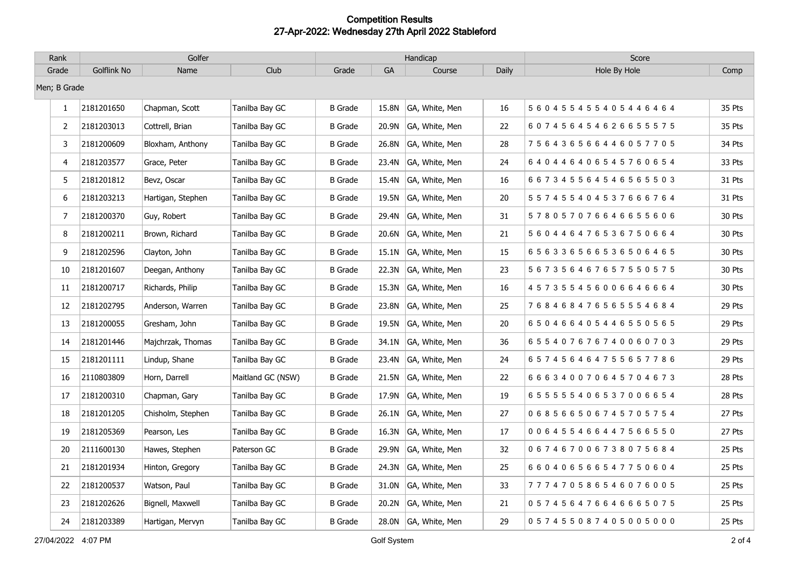| Rank         | Golfer      |                   |                   | Handicap       |           |                |       | Score                               |        |
|--------------|-------------|-------------------|-------------------|----------------|-----------|----------------|-------|-------------------------------------|--------|
| Grade        | Golflink No | Name              | Club              | Grade          | <b>GA</b> | Course         | Daily | Hole By Hole                        | Comp   |
| Men; B Grade |             |                   |                   |                |           |                |       |                                     |        |
| $\mathbf{1}$ | 2181201650  | Chapman, Scott    | Tanilba Bay GC    | <b>B</b> Grade | 15.8N     | GA, White, Men | 16    | 5 6 0 4 5 5 4 5 5 4 0 5 4 4 6 4 6 4 | 35 Pts |
| 2            | 2181203013  | Cottrell, Brian   | Tanilba Bay GC    | <b>B</b> Grade | 20.9N     | GA, White, Men | 22    | 607456454626655575                  | 35 Pts |
| 3            | 2181200609  | Bloxham, Anthony  | Tanilba Bay GC    | <b>B</b> Grade | 26.8N     | GA, White, Men | 28    | 756436566446057705                  | 34 Pts |
| 4            | 2181203577  | Grace, Peter      | Tanilba Bay GC    | <b>B</b> Grade | 23.4N     | GA, White, Men | 24    | 640446406545760654                  | 33 Pts |
| 5            | 2181201812  | Bevz, Oscar       | Tanilba Bay GC    | <b>B</b> Grade | 15.4N     | GA, White, Men | 16    | 667345564546565503                  | 31 Pts |
| 6            | 2181203213  | Hartigan, Stephen | Tanilba Bay GC    | <b>B</b> Grade | 19.5N     | GA, White, Men | 20    | 557455404537666764                  | 31 Pts |
| 7            | 2181200370  | Guy, Robert       | Tanilba Bay GC    | <b>B</b> Grade | 29.4N     | GA, White, Men | 31    | 578057076646655606                  | 30 Pts |
| 8            | 2181200211  | Brown, Richard    | Tanilba Bay GC    | <b>B</b> Grade | 20.6N     | GA, White, Men | 21    | 5 6 0 4 4 6 4 7 6 5 3 6 7 5 0 6 6 4 | 30 Pts |
| 9            | 2181202596  | Clayton, John     | Tanilba Bay GC    | <b>B</b> Grade | 15.1N     | GA, White, Men | 15    | 656336566536506465                  | 30 Pts |
| 10           | 2181201607  | Deegan, Anthony   | Tanilba Bay GC    | <b>B</b> Grade | 22.3N     | GA, White, Men | 23    | 5 6 7 3 5 6 4 6 7 6 5 7 5 5 0 5 7 5 | 30 Pts |
| 11           | 2181200717  | Richards, Philip  | Tanilba Bay GC    | <b>B</b> Grade | 15.3N     | GA, White, Men | 16    | 457355456006646664                  | 30 Pts |
| 12           | 2181202795  | Anderson, Warren  | Tanilba Bay GC    | <b>B</b> Grade | 23.8N     | GA, White, Men | 25    | 768468476565554684                  | 29 Pts |
| 13           | 2181200055  | Gresham, John     | Tanilba Bay GC    | <b>B</b> Grade | 19.5N     | GA, White, Men | 20    | 650466405446550565                  | 29 Pts |
| 14           | 2181201446  | Majchrzak, Thomas | Tanilba Bay GC    | <b>B</b> Grade | 34.1N     | GA, White, Men | 36    | 655407676740060703                  | 29 Pts |
| 15           | 2181201111  | Lindup, Shane     | Tanilba Bay GC    | <b>B</b> Grade | 23.4N     | GA, White, Men | 24    | 657456464755657786                  | 29 Pts |
| 16           | 2110803809  | Horn, Darrell     | Maitland GC (NSW) | <b>B</b> Grade | 21.5N     | GA, White, Men | 22    | 666340070645704673                  | 28 Pts |
| 17           | 2181200310  | Chapman, Gary     | Tanilba Bay GC    | <b>B</b> Grade | 17.9N     | GA, White, Men | 19    | 655555406537006654                  | 28 Pts |
| 18           | 2181201205  | Chisholm, Stephen | Tanilba Bay GC    | <b>B</b> Grade | 26.1N     | GA, White, Men | 27    | 068566506745705754                  | 27 Pts |
| 19           | 2181205369  | Pearson, Les      | Tanilba Bay GC    | <b>B</b> Grade | 16.3N     | GA, White, Men | 17    | 006455466447566550                  | 27 Pts |
| 20           | 2111600130  | Hawes, Stephen    | Paterson GC       | <b>B</b> Grade | 29.9N     | GA, White, Men | 32    | 067467006738075684                  | 25 Pts |
| 21           | 2181201934  | Hinton, Gregory   | Tanilba Bay GC    | <b>B</b> Grade | 24.3N     | GA, White, Men | 25    | 660406566547750604                  | 25 Pts |
| 22           | 2181200537  | Watson, Paul      | Tanilba Bay GC    | <b>B</b> Grade | 31.0N     | GA, White, Men | 33    | 777470586546076005                  | 25 Pts |
| 23           | 2181202626  | Bignell, Maxwell  | Tanilba Bay GC    | <b>B</b> Grade | 20.2N     | GA, White, Men | 21    | 0 5 7 4 5 6 4 7 6 6 4 6 6 6 5 0 7 5 | 25 Pts |
| 24           | 2181203389  | Hartigan, Mervyn  | Tanilba Bay GC    | <b>B</b> Grade | 28.0N     | GA, White, Men | 29    | 057455087405005000                  | 25 Pts |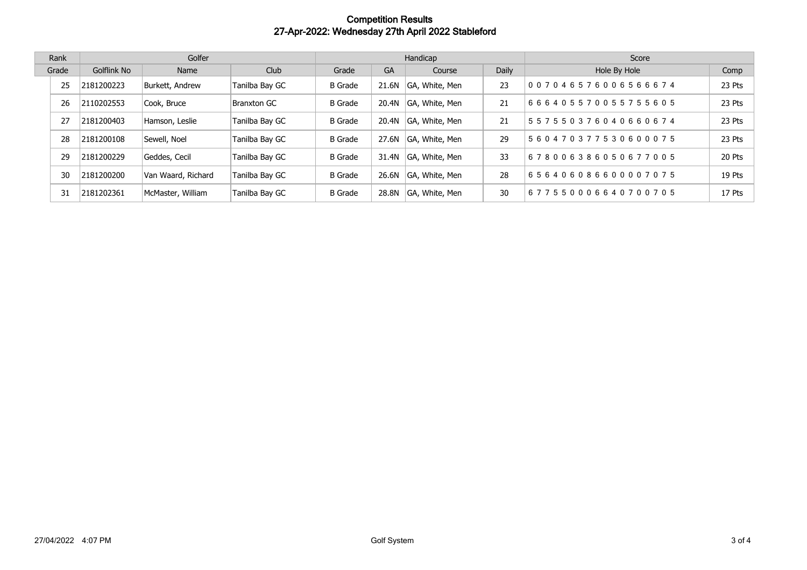| Rank  | Golfer      |                    |                | Handicap       |       |                |       | Score              |        |
|-------|-------------|--------------------|----------------|----------------|-------|----------------|-------|--------------------|--------|
| Grade | Golflink No | Name               | Club           | Grade          | GA    | Course         | Daily | Hole By Hole       | Comp   |
| 25    | 2181200223  | Burkett, Andrew    | Tanilba Bay GC | <b>B</b> Grade | 21.6N | GA, White, Men | 23    | 007046576006566674 | 23 Pts |
| 26    | 2110202553  | Cook, Bruce        | Branxton GC    | <b>B</b> Grade | 20.4N | GA, White, Men | 21    | 666405570055755605 | 23 Pts |
| 27    | 2181200403  | Hamson, Leslie     | Tanilba Bay GC | <b>B</b> Grade | 20.4N | GA, White, Men | 21    | 557550376040660674 | 23 Pts |
| 28    | 2181200108  | Sewell, Noel       | Tanilba Bay GC | <b>B</b> Grade | 27.6N | GA, White, Men | 29    | 560470377530600075 | 23 Pts |
| 29    | 2181200229  | Geddes, Cecil      | Tanilba Bay GC | <b>B</b> Grade | 31.4N | GA, White, Men | 33    | 678006386050677005 | 20 Pts |
| 30    | 2181200200  | Van Waard, Richard | Tanilba Bay GC | B Grade        | 26.6N | GA, White, Men | 28    | 656406086600007075 | 19 Pts |
| 31    | 2181202361  | McMaster, William  | Tanilba Bay GC | <b>B</b> Grade | 28.8N | GA, White, Men | 30    | 677550006640700705 | 17 Pts |